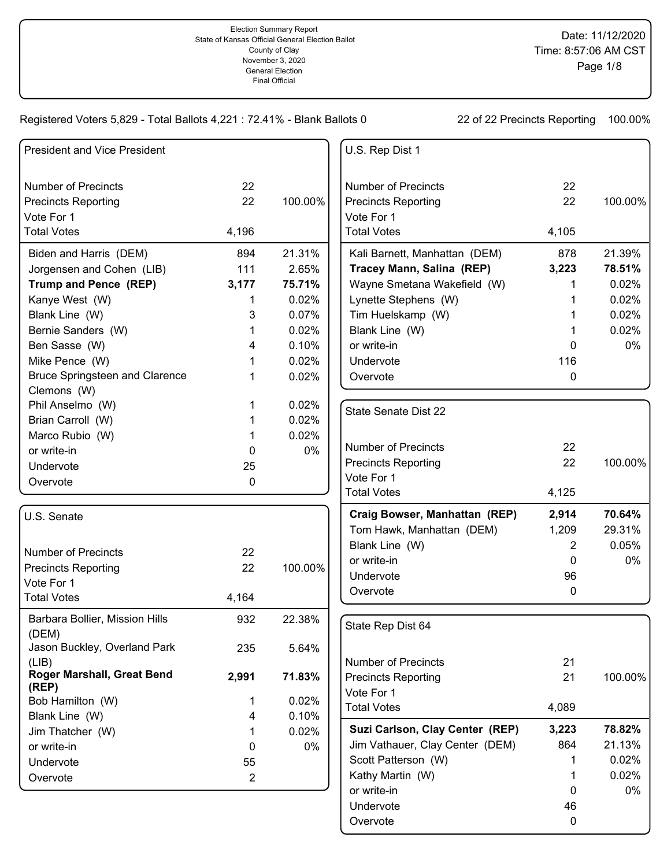| <b>President and Vice President</b>                  |                |         | U.S. Rep Dist 1                 |                |         |
|------------------------------------------------------|----------------|---------|---------------------------------|----------------|---------|
| <b>Number of Precincts</b>                           | 22             |         | <b>Number of Precincts</b>      | 22             |         |
| <b>Precincts Reporting</b>                           | 22             | 100.00% | <b>Precincts Reporting</b>      | 22             | 100.00% |
| Vote For 1                                           |                |         | Vote For 1                      |                |         |
| <b>Total Votes</b>                                   | 4,196          |         | <b>Total Votes</b>              | 4,105          |         |
| Biden and Harris (DEM)                               | 894            | 21.31%  | Kali Barnett, Manhattan (DEM)   | 878            | 21.39%  |
| Jorgensen and Cohen (LIB)                            | 111            | 2.65%   | Tracey Mann, Salina (REP)       | 3,223          | 78.51%  |
| Trump and Pence (REP)                                | 3,177          | 75.71%  | Wayne Smetana Wakefield (W)     |                | 0.02%   |
| Kanye West (W)                                       | 1              | 0.02%   | Lynette Stephens (W)            |                | 0.02%   |
| Blank Line (W)                                       | 3              | 0.07%   | Tim Huelskamp (W)               |                | 0.02%   |
| Bernie Sanders (W)                                   | 1              | 0.02%   | Blank Line (W)                  |                | 0.02%   |
| Ben Sasse (W)                                        | 4              | 0.10%   | or write-in                     | 0              | 0%      |
| Mike Pence (W)                                       | 1              | 0.02%   | Undervote                       | 116            |         |
| <b>Bruce Springsteen and Clarence</b><br>Clemons (W) | 1              | 0.02%   | Overvote                        | 0              |         |
| Phil Anselmo (W)                                     | 1              | 0.02%   | <b>State Senate Dist 22</b>     |                |         |
| Brian Carroll (W)                                    | 1              | 0.02%   |                                 |                |         |
| Marco Rubio (W)                                      | 1              | 0.02%   |                                 |                |         |
| or write-in                                          | 0              | 0%      | <b>Number of Precincts</b>      | 22             |         |
| Undervote                                            | 25             |         | <b>Precincts Reporting</b>      | 22             | 100.00% |
| Overvote                                             | 0              |         | Vote For 1                      |                |         |
|                                                      |                |         | <b>Total Votes</b>              | 4,125          |         |
| U.S. Senate                                          |                |         | Craig Bowser, Manhattan (REP)   | 2,914          | 70.64%  |
|                                                      |                |         | Tom Hawk, Manhattan (DEM)       | 1,209          | 29.31%  |
| <b>Number of Precincts</b>                           | 22             |         | Blank Line (W)                  | $\overline{2}$ | 0.05%   |
| <b>Precincts Reporting</b>                           | 22             | 100.00% | or write-in                     | 0              | 0%      |
| Vote For 1                                           |                |         | Undervote                       | 96             |         |
| <b>Total Votes</b>                                   | 4,164          |         | Overvote                        | 0              |         |
|                                                      |                |         |                                 |                |         |
| Barbara Bollier, Mission Hills<br>(DEM)              | 932            | 22.38%  | State Rep Dist 64               |                |         |
| Jason Buckley, Overland Park                         | 235            | 5.64%   |                                 |                |         |
| (LIB)                                                |                |         | <b>Number of Precincts</b>      | 21             |         |
| Roger Marshall, Great Bend<br>(REP)                  | 2,991          | 71.83%  | <b>Precincts Reporting</b>      | 21             | 100.00% |
| Bob Hamilton (W)                                     | 1              | 0.02%   | Vote For 1                      |                |         |
| Blank Line (W)                                       | 4              | 0.10%   | <b>Total Votes</b>              | 4,089          |         |
| Jim Thatcher (W)                                     | 1              | 0.02%   | Suzi Carlson, Clay Center (REP) | 3,223          | 78.82%  |
| or write-in                                          | 0              | 0%      | Jim Vathauer, Clay Center (DEM) | 864            | 21.13%  |
| Undervote                                            | 55             |         | Scott Patterson (W)             |                | 0.02%   |
| Overvote                                             | $\overline{2}$ |         | Kathy Martin (W)                |                | 0.02%   |
|                                                      |                |         | or write-in                     | 0              | 0%      |
|                                                      |                |         | Undervote                       | 46             |         |

Overvote 0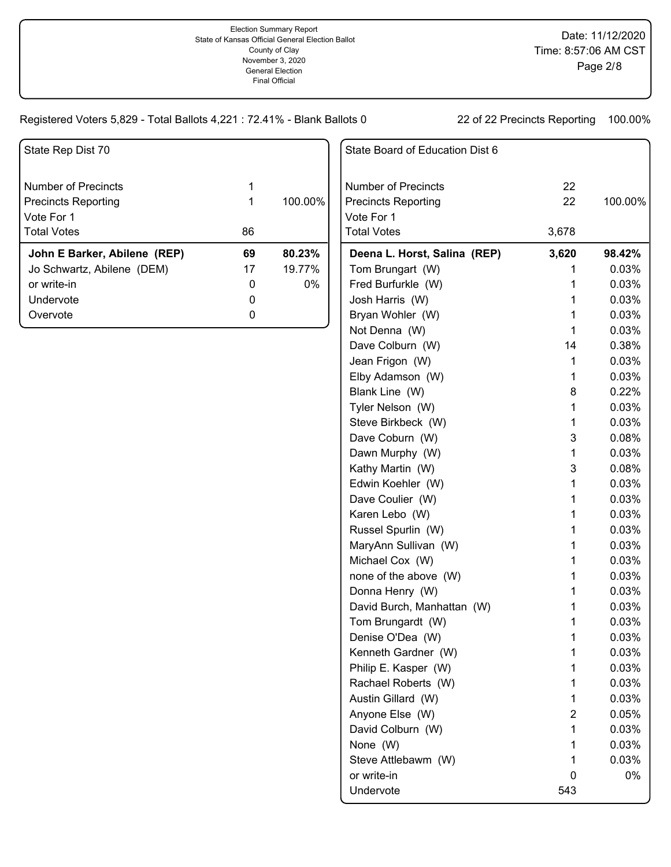State Board of Education Dist 6

| State Rep Dist 70            |    |         |
|------------------------------|----|---------|
| Number of Precincts          | 1  |         |
|                              |    |         |
| <b>Precincts Reporting</b>   | 1  | 100.00% |
| Vote For 1                   |    |         |
| <b>Total Votes</b>           | 86 |         |
| John E Barker, Abilene (REP) | 69 | 80.23%  |
| Jo Schwartz, Abilene (DEM)   | 17 | 19.77%  |
| or write-in                  | O  | $0\%$   |
| Undervote                    |    |         |
| Overvote                     |    |         |

| <b>Number of Precincts</b>   | 22    |         |
|------------------------------|-------|---------|
| <b>Precincts Reporting</b>   | 22    | 100.00% |
| Vote For 1                   |       |         |
| <b>Total Votes</b>           | 3,678 |         |
| Deena L. Horst, Salina (REP) | 3,620 | 98.42%  |
| Tom Brungart (W)             | 1     | 0.03%   |
| Fred Burfurkle (W)           | 1     | 0.03%   |
| Josh Harris (W)              | 1     | 0.03%   |
| Bryan Wohler (W)             | 1     | 0.03%   |
| Not Denna (W)                | 1     | 0.03%   |
| Dave Colburn (W)             | 14    | 0.38%   |
| Jean Frigon (W)              | 1     | 0.03%   |
| Elby Adamson (W)             | 1     | 0.03%   |
| Blank Line (W)               | 8     | 0.22%   |
| Tyler Nelson (W)             | 1     | 0.03%   |
| Steve Birkbeck (W)           | 1     | 0.03%   |
| Dave Coburn (W)              | 3     | 0.08%   |
| Dawn Murphy (W)              | 1     | 0.03%   |
| Kathy Martin (W)             | 3     | 0.08%   |
| Edwin Koehler (W)            | 1     | 0.03%   |
| Dave Coulier (W)             | 1     | 0.03%   |
| Karen Lebo (W)               | 1     | 0.03%   |
| Russel Spurlin (W)           | 1     | 0.03%   |
| MaryAnn Sullivan (W)         | 1     | 0.03%   |
| Michael Cox (W)              | 1     | 0.03%   |
| none of the above (W)        | 1     | 0.03%   |
| Donna Henry (W)              | 1     | 0.03%   |
| David Burch, Manhattan (W)   | 1     | 0.03%   |
| Tom Brungardt (W)            | 1     | 0.03%   |
| Denise O'Dea (W)             | 1     | 0.03%   |
| Kenneth Gardner (W)          | 1     | 0.03%   |
| Philip E. Kasper (W)         | 1     | 0.03%   |
| Rachael Roberts (W)          | 1     | 0.03%   |
| Austin Gillard (W)           | 1     | 0.03%   |
| Anyone Else (W)              | 2     | 0.05%   |
| David Colburn (W)            | 1     | 0.03%   |
| None (W)                     | 1     | 0.03%   |
| Steve Attlebawm (W)          | 1     | 0.03%   |
| or write-in                  | 0     | 0%      |
| Undervote                    | 543   |         |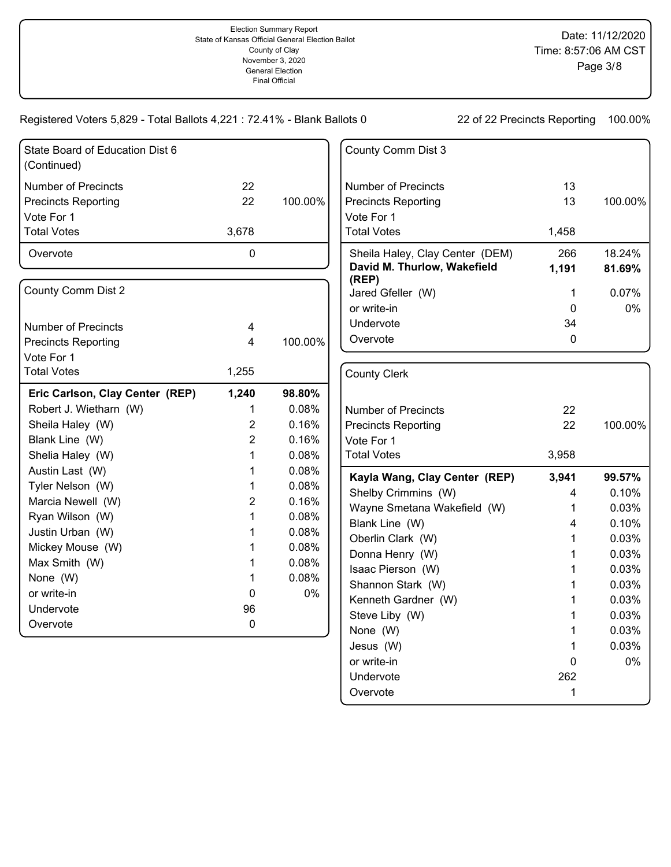| State Board of Education Dist 6<br>(Continued) |                |         | County Comm Dist 3                   |              |         |
|------------------------------------------------|----------------|---------|--------------------------------------|--------------|---------|
| <b>Number of Precincts</b>                     | 22             |         | <b>Number of Precincts</b>           | 13           |         |
| <b>Precincts Reporting</b>                     | 22             | 100.00% | <b>Precincts Reporting</b>           | 13           | 100.00% |
| Vote For 1                                     |                |         | Vote For 1                           |              |         |
| <b>Total Votes</b>                             | 3,678          |         | <b>Total Votes</b>                   | 1,458        |         |
| Overvote                                       | 0              |         | Sheila Haley, Clay Center (DEM)      | 266          | 18.24%  |
|                                                |                |         | David M. Thurlow, Wakefield<br>(REP) | 1,191        | 81.69%  |
| County Comm Dist 2                             |                |         | Jared Gfeller (W)                    | 1            | 0.07%   |
|                                                |                |         | or write-in                          | 0            | 0%      |
| <b>Number of Precincts</b>                     | 4              |         | Undervote                            | 34           |         |
| <b>Precincts Reporting</b>                     | 4              | 100.00% | Overvote                             | $\mathbf{0}$ |         |
| Vote For 1                                     |                |         |                                      |              |         |
| <b>Total Votes</b>                             | 1,255          |         | <b>County Clerk</b>                  |              |         |
| Eric Carlson, Clay Center (REP)                | 1,240          | 98.80%  |                                      |              |         |
| Robert J. Wietharn (W)                         | 1              | 0.08%   | <b>Number of Precincts</b>           | 22           |         |
| Sheila Haley (W)                               | $\overline{c}$ | 0.16%   | <b>Precincts Reporting</b>           | 22           | 100.00% |
| Blank Line (W)                                 | $\overline{2}$ | 0.16%   | Vote For 1                           |              |         |
| Shelia Haley (W)                               | 1              | 0.08%   | <b>Total Votes</b>                   | 3,958        |         |
| Austin Last (W)                                | 1              | 0.08%   | Kayla Wang, Clay Center (REP)        | 3,941        | 99.57%  |
| Tyler Nelson (W)                               | 1              | 0.08%   | Shelby Crimmins (W)                  | 4            | 0.10%   |
| Marcia Newell (W)                              | $\overline{2}$ | 0.16%   | Wayne Smetana Wakefield (W)          | 1            | 0.03%   |
| Ryan Wilson (W)                                | 1              | 0.08%   | Blank Line (W)                       | 4            | 0.10%   |
| Justin Urban (W)                               | 1              | 0.08%   | Oberlin Clark (W)                    |              | 0.03%   |
| Mickey Mouse (W)                               | 1              | 0.08%   | Donna Henry (W)                      |              | 0.03%   |
| Max Smith (W)                                  | 1              | 0.08%   | Isaac Pierson (W)                    |              | 0.03%   |
| None (W)                                       | 1              | 0.08%   | Shannon Stark (W)                    | 1            | 0.03%   |
| or write-in                                    | 0              | 0%      | Kenneth Gardner (W)                  |              | 0.03%   |
| Undervote                                      | 96             |         | Steve Liby (W)                       | 1            | 0.03%   |
| Overvote                                       | 0              |         | None (W)                             | 1            | 0.03%   |
|                                                |                |         | Jesus (W)                            | 1            | 0.03%   |
|                                                |                |         | or write-in                          | 0            | 0%      |
|                                                |                |         | Undervote                            | 262          |         |

Overvote 1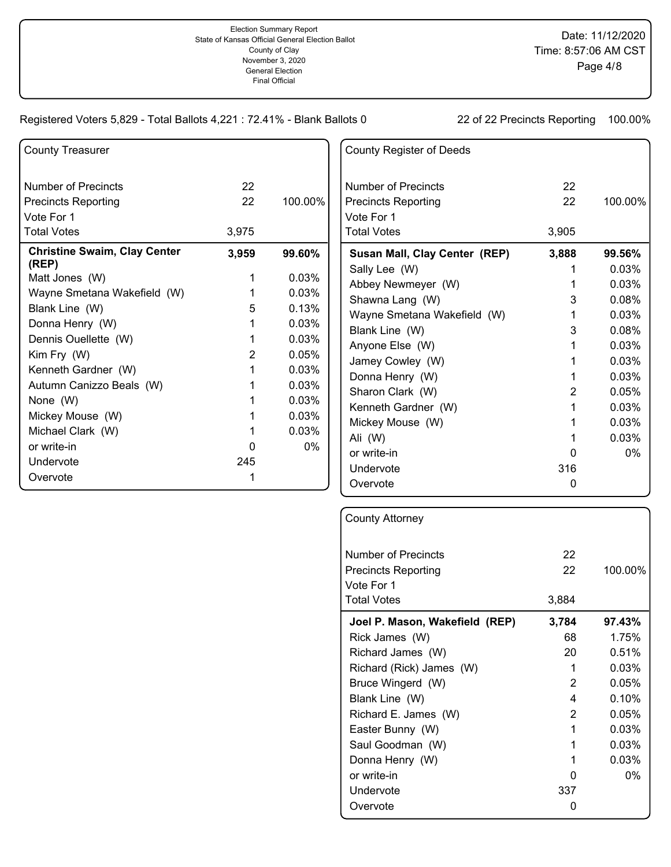| <b>County Treasurer</b>                      |                 |           |
|----------------------------------------------|-----------------|-----------|
| <b>Number of Precincts</b>                   | 22              |           |
| <b>Precincts Reporting</b>                   | 22 <sub>2</sub> | 100.00%   |
| Vote For 1                                   |                 |           |
| <b>Total Votes</b>                           | 3,975           |           |
| <b>Christine Swaim, Clay Center</b><br>(REP) | 3,959           | $99.60\%$ |
| Matt Jones (W)                               | 1               | 0.03%     |
| Wayne Smetana Wakefield (W)                  | 1               | 0.03%     |
| Blank Line (W)                               | 5               | 0.13%     |
| Donna Henry (W)                              | 1               | 0.03%     |
| Dennis Ouellette (W)                         | 1               | 0.03%     |
| Kim Fry (W)                                  | $\overline{2}$  | 0.05%     |
| Kenneth Gardner (W)                          | 1               | 0.03%     |
| Autumn Canizzo Beals (W)                     | 1               | 0.03%     |
| None (W)                                     | 1               | 0.03%     |
| Mickey Mouse (W)                             | 1               | 0.03%     |
| Michael Clark (W)                            | 1               | 0.03%     |
| or write-in                                  | O               | $0\%$     |
| Undervote                                    | 245             |           |
| Overvote                                     | 1               |           |

| <b>County Register of Deeds</b> |       |         |
|---------------------------------|-------|---------|
| Number of Precincts             | 22    |         |
| <b>Precincts Reporting</b>      | 22    | 100.00% |
| Vote For 1                      |       |         |
| <b>Total Votes</b>              | 3,905 |         |
| Susan Mall, Clay Center (REP)   | 3,888 | 99.56%  |
| Sally Lee (W)                   |       | 0.03%   |
| Abbey Newmeyer (W)              | 1     | 0.03%   |
| Shawna Lang (W)                 | 3     | 0.08%   |
| Wayne Smetana Wakefield (W)     | 1     | 0.03%   |
| Blank Line (W)                  | 3     | 0.08%   |
| Anyone Else (W)                 | 1     | 0.03%   |
| Jamey Cowley (W)                | 1     | 0.03%   |
| Donna Henry (W)                 | 1     | 0.03%   |
| Sharon Clark (W)                | 2     | 0.05%   |
| Kenneth Gardner (W)             | 1     | 0.03%   |
| Mickey Mouse (W)                | 1     | 0.03%   |
| Ali (W)                         | 1     | 0.03%   |
| or write-in                     | O     | $0\%$   |
| Undervote                       | 316   |         |
| Overvote                        | 0     |         |

| <b>County Attorney</b>         |                |          |
|--------------------------------|----------------|----------|
| <b>Number of Precincts</b>     | 22             |          |
| <b>Precincts Reporting</b>     | 22             | 100.00%  |
| Vote For 1                     |                |          |
| <b>Total Votes</b>             | 3,884          |          |
| Joel P. Mason, Wakefield (REP) | 3,784          | 97.43%   |
| Rick James (W)                 | 68.            | 1.75%    |
| Richard James (W)              | 20.            | 0.51%    |
| Richard (Rick) James (W)       | 1              | 0.03%    |
| Bruce Wingerd (W)              | 2              | 0.05%    |
| Blank Line (W)                 | 4              | 0.10%    |
| Richard E. James (W)           | $\overline{2}$ | 0.05%    |
| Easter Bunny (W)               | 1              | 0.03%    |
| Saul Goodman (W)               | 1              | 0.03%    |
| Donna Henry (W)                | 1              | $0.03\%$ |
| or write-in                    | O              | $0\%$    |
| Undervote                      | 337            |          |
| Overvote                       |                |          |
|                                |                |          |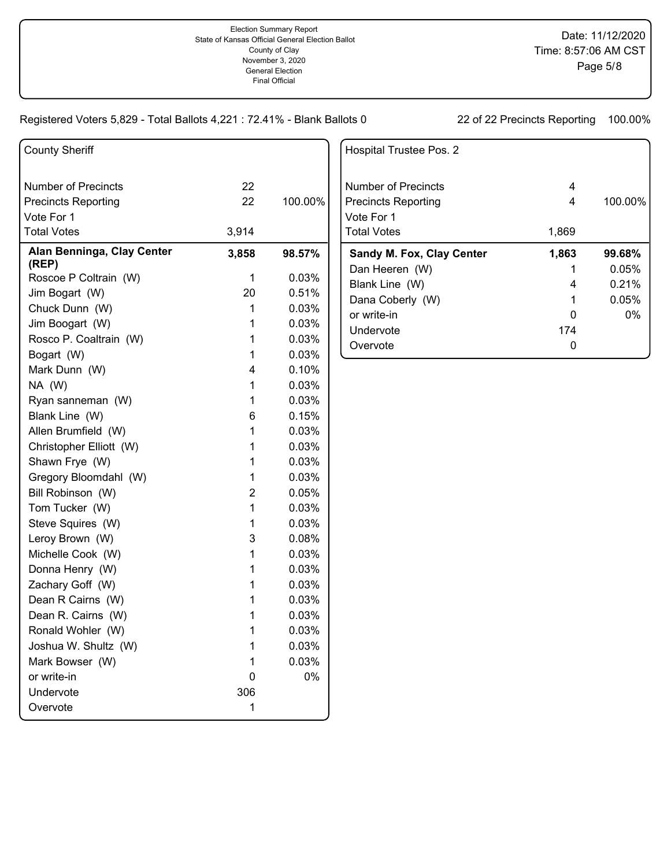| <b>County Sheriff</b>               |       |         |
|-------------------------------------|-------|---------|
| <b>Number of Precincts</b>          | 22    |         |
| <b>Precincts Reporting</b>          | 22    | 100.00% |
| Vote For 1                          |       |         |
| <b>Total Votes</b>                  | 3,914 |         |
| Alan Benninga, Clay Center<br>(REP) | 3,858 | 98.57%  |
| Roscoe P Coltrain (W)               | 1     | 0.03%   |
| Jim Bogart (W)                      | 20    | 0.51%   |
| Chuck Dunn (W)                      | 1     | 0.03%   |
| Jim Boogart (W)                     | 1     | 0.03%   |
| Rosco P. Coaltrain (W)              | 1     | 0.03%   |
| Bogart (W)                          | 1     | 0.03%   |
| Mark Dunn (W)                       | 4     | 0.10%   |
| NA (W)                              | 1     | 0.03%   |
| Ryan sanneman (W)                   | 1     | 0.03%   |
| Blank Line (W)                      | 6     | 0.15%   |
| Allen Brumfield (W)                 | 1     | 0.03%   |
| Christopher Elliott (W)             | 1     | 0.03%   |
| Shawn Frye (W)                      | 1     | 0.03%   |
| Gregory Bloomdahl (W)               | 1     | 0.03%   |
| Bill Robinson (W)                   | 2     | 0.05%   |
| Tom Tucker (W)                      | 1     | 0.03%   |
| Steve Squires (W)                   | 1     | 0.03%   |
| Leroy Brown (W)                     | 3     | 0.08%   |
| Michelle Cook (W)                   | 1     | 0.03%   |
| Donna Henry (W)                     | 1     | 0.03%   |
| Zachary Goff (W)                    | 1     | 0.03%   |
| Dean R Cairns (W)                   | 1     | 0.03%   |
| Dean R. Cairns (W)                  | 1     | 0.03%   |
| Ronald Wohler (W)                   | 1     | 0.03%   |
| Joshua W. Shultz (W)                | 1     | 0.03%   |
| Mark Bowser (W)                     | 1     | 0.03%   |
| or write-in                         | 0     | 0%      |
| Undervote                           | 306   |         |
| Overvote                            | 1     |         |
|                                     |       |         |

| Hospital Trustee Pos. 2                           |        |          |
|---------------------------------------------------|--------|----------|
| Number of Precincts<br><b>Precincts Reporting</b> | 4<br>4 | 100.00%  |
| Vote For 1                                        |        |          |
| <b>Total Votes</b>                                | 1,869  |          |
| <b>Sandy M. Fox, Clay Center</b>                  | 1,863  | 99.68%   |
| Dan Heeren (W)                                    |        | $0.05\%$ |
| Blank Line (W)                                    | 4      | 0.21%    |
| Dana Coberly (W)                                  | 1      | 0.05%    |
|                                                   |        |          |
| or write-in                                       | 0      | $0\%$    |
| Undervote                                         | 174    |          |
| Overvote                                          |        |          |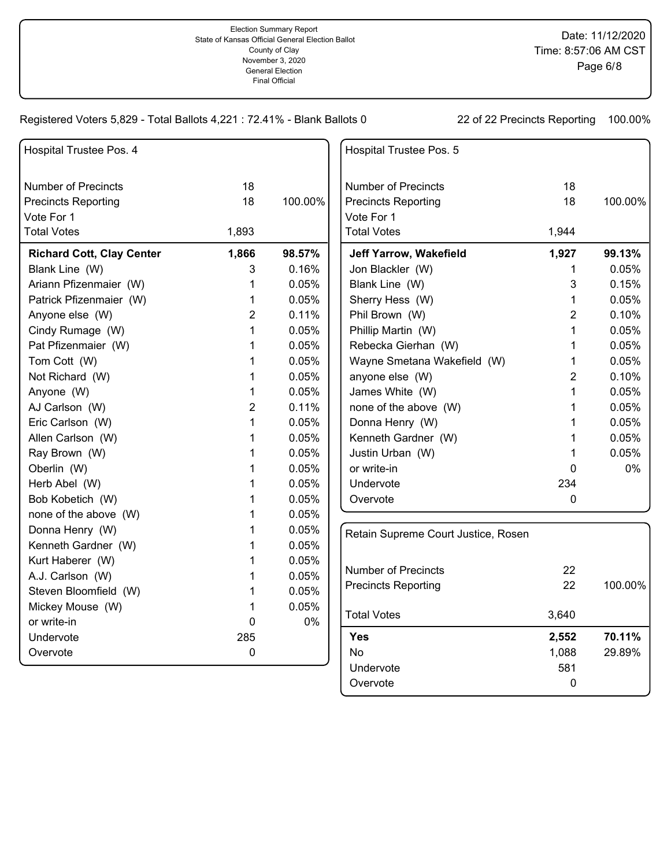| Hospital Trustee Pos. 4          |                |         | Hospital Trustee Pos. 5             |                |         |
|----------------------------------|----------------|---------|-------------------------------------|----------------|---------|
| <b>Number of Precincts</b>       | 18             |         | <b>Number of Precincts</b>          | 18             |         |
| <b>Precincts Reporting</b>       | 18             | 100.00% | <b>Precincts Reporting</b>          | 18             | 100.00% |
| Vote For 1                       |                |         | Vote For 1                          |                |         |
| <b>Total Votes</b>               | 1,893          |         | <b>Total Votes</b>                  | 1,944          |         |
| <b>Richard Cott, Clay Center</b> | 1,866          | 98.57%  | Jeff Yarrow, Wakefield              | 1,927          | 99.13%  |
| Blank Line (W)                   | 3              | 0.16%   | Jon Blackler (W)                    | 1              | 0.05%   |
| Ariann Pfizenmaier (W)           | 1              | 0.05%   | Blank Line (W)                      | 3              | 0.15%   |
| Patrick Pfizenmaier (W)          | 1              | 0.05%   | Sherry Hess (W)                     | 1              | 0.05%   |
| Anyone else (W)                  | 2              | 0.11%   | Phil Brown (W)                      | $\overline{2}$ | 0.10%   |
| Cindy Rumage (W)                 | 1              | 0.05%   | Phillip Martin (W)                  | 1              | 0.05%   |
| Pat Pfizenmaier (W)              | 1              | 0.05%   | Rebecka Gierhan (W)                 | 1              | 0.05%   |
| Tom Cott (W)                     | 1              | 0.05%   | Wayne Smetana Wakefield (W)         | 1              | 0.05%   |
| Not Richard (W)                  | 1              | 0.05%   | anyone else (W)                     | 2              | 0.10%   |
| Anyone (W)                       | 1              | 0.05%   | James White (W)                     | 1              | 0.05%   |
| AJ Carlson (W)                   | $\overline{c}$ | 0.11%   | none of the above (W)               | 1              | 0.05%   |
| Eric Carlson (W)                 | 1              | 0.05%   | Donna Henry (W)                     | 1              | 0.05%   |
| Allen Carlson (W)                | 1              | 0.05%   | Kenneth Gardner (W)                 | 1              | 0.05%   |
| Ray Brown (W)                    | 1              | 0.05%   | Justin Urban (W)                    | 1              | 0.05%   |
| Oberlin (W)                      | 1              | 0.05%   | or write-in                         | 0              | 0%      |
| Herb Abel (W)                    | 1              | 0.05%   | Undervote                           | 234            |         |
| Bob Kobetich (W)                 | 1              | 0.05%   | Overvote                            | $\mathbf 0$    |         |
| none of the above (W)            | 1              | 0.05%   |                                     |                |         |
| Donna Henry (W)                  | 1              | 0.05%   | Retain Supreme Court Justice, Rosen |                |         |
| Kenneth Gardner (W)              | 1              | 0.05%   |                                     |                |         |
| Kurt Haberer (W)                 | 1              | 0.05%   |                                     |                |         |
| A.J. Carlson (W)                 | 1              | 0.05%   | <b>Number of Precincts</b>          | 22             |         |
| Steven Bloomfield (W)            | 1              | 0.05%   | <b>Precincts Reporting</b>          | 22             | 100.00% |
| Mickey Mouse (W)                 | 1              | 0.05%   | <b>Total Votes</b>                  | 3,640          |         |
| or write-in                      | $\mathbf 0$    | $0\%$   |                                     |                |         |
| Undervote                        | 285            |         | <b>Yes</b>                          | 2,552          | 70.11%  |
| Overvote                         | $\mathbf 0$    |         | <b>No</b>                           | 1,088          | 29.89%  |
|                                  |                |         | Undervote                           | 581            |         |
|                                  |                |         | Overvote                            | 0              |         |
|                                  |                |         |                                     |                |         |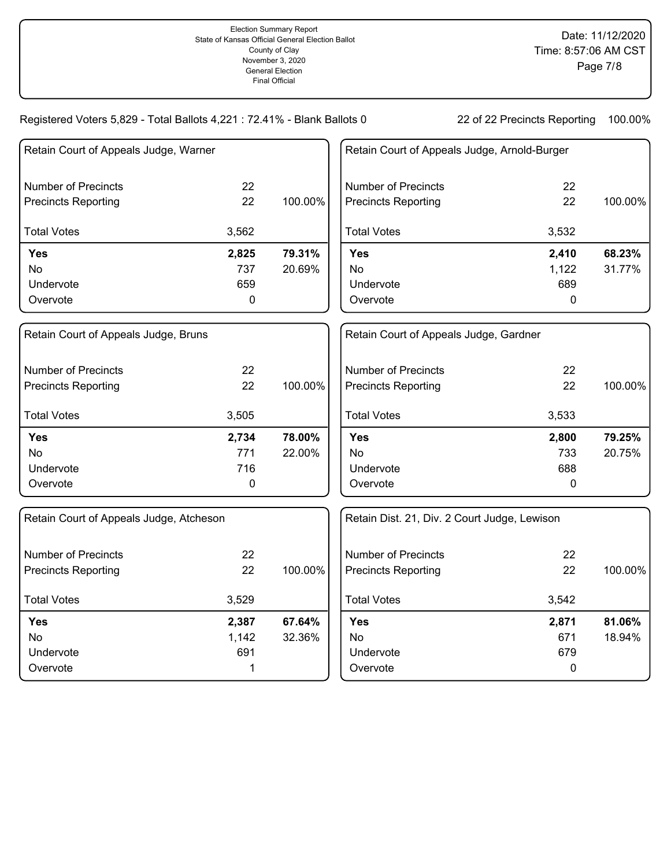| Retain Court of Appeals Judge, Warner   |       |         | Retain Court of Appeals Judge, Arnold-Burger |           |         |
|-----------------------------------------|-------|---------|----------------------------------------------|-----------|---------|
| <b>Number of Precincts</b>              | 22    |         | <b>Number of Precincts</b>                   | 22        |         |
| <b>Precincts Reporting</b>              | 22    | 100.00% | <b>Precincts Reporting</b>                   | 22        | 100.00% |
| <b>Total Votes</b>                      | 3,562 |         | <b>Total Votes</b>                           | 3,532     |         |
| <b>Yes</b>                              | 2,825 | 79.31%  | <b>Yes</b>                                   | 2,410     | 68.23%  |
| <b>No</b>                               | 737   | 20.69%  | <b>No</b>                                    | 1,122     | 31.77%  |
| Undervote                               | 659   |         | Undervote                                    | 689       |         |
| Overvote                                | 0     |         | Overvote                                     | 0         |         |
| Retain Court of Appeals Judge, Bruns    |       |         | Retain Court of Appeals Judge, Gardner       |           |         |
| <b>Number of Precincts</b>              | 22    |         | <b>Number of Precincts</b>                   | 22        |         |
| <b>Precincts Reporting</b>              | 22    | 100.00% | <b>Precincts Reporting</b>                   | 22        | 100.00% |
| <b>Total Votes</b>                      | 3,505 |         | <b>Total Votes</b>                           | 3,533     |         |
| <b>Yes</b>                              | 2,734 | 78.00%  | <b>Yes</b>                                   | 2,800     | 79.25%  |
| No                                      | 771   | 22.00%  | No.                                          | 733       | 20.75%  |
| Undervote                               | 716   |         | Undervote                                    | 688       |         |
| Overvote                                | 0     |         | Overvote                                     | 0         |         |
| Retain Court of Appeals Judge, Atcheson |       |         | Retain Dist. 21, Div. 2 Court Judge, Lewison |           |         |
| <b>Number of Precincts</b>              | 22    |         | <b>Number of Precincts</b>                   | 22        |         |
| <b>Precincts Reporting</b>              | 22    | 100.00% | <b>Precincts Reporting</b>                   | 22        | 100.00% |
| <b>Total Votes</b>                      | 3,529 |         | <b>Total Votes</b>                           | 3,542     |         |
| <b>Yes</b>                              | 2,387 | 67.64%  | <b>Yes</b>                                   | 2,871     | 81.06%  |
| No                                      | 1,142 | 32.36%  | <b>No</b>                                    | 671       | 18.94%  |
| Undervote                               | 691   |         | Undervote                                    | 679       |         |
| Overvote                                | 1     |         | Overvote                                     | $\pmb{0}$ |         |